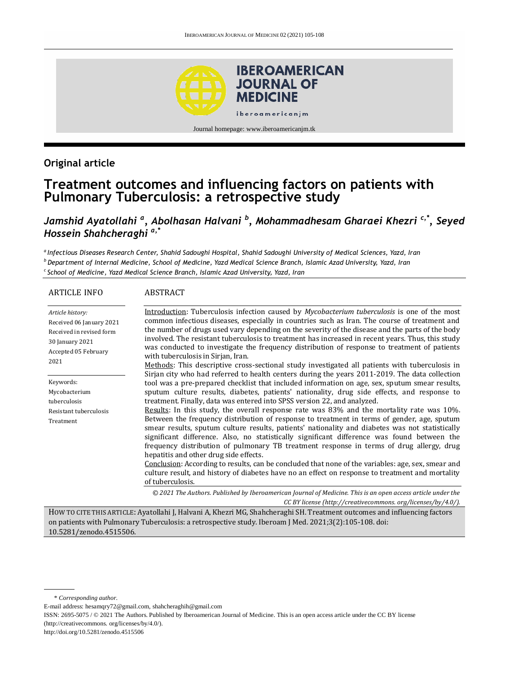

Journal homepage: www.iberoamericanjm.tk

## **Original article**

# **Treatment outcomes and influencing factors on patients with Pulmonary Tuberculosis: a retrospective study**

*Jamshid Ayatollahi <sup>a</sup> , Abolhasan Halvani <sup>b</sup> , Mohammadhesam Gharaei Khezri c,\*, Seyed Hossein Shahcheraghi a,\**

*a Infectious Diseases Research Center, Shahid Sadoughi Hospital, Shahid Sadoughi University of Medical Sciences, Yazd, Iran <sup>b</sup>Department of Internal Medicine, School of Medicine, Yazd Medical Science Branch, Islamic Azad University, Yazd, Iran <sup>c</sup>School of Medicine, Yazd Medical Science Branch, Islamic Azad University, Yazd, Iran*

#### ARTICLE INFO *Article history:* Received 06 January 2021 Received in revised form 30 January 2021 Accepted 05 February 2021 Keywords: Mycobacterium tuberculosis Resistant tuberculosis Treatment ABSTRACT Introduction: Tuberculosis infection caused by *Mycobacterium tuberculosis* is one of the most common infectious diseases, especially in countries such as Iran. The course of treatment and the number of drugs used vary depending on the severity of the disease and the parts of the body involved. The resistant tuberculosis to treatment has increased in recent years. Thus, this study was conducted to investigate the frequency distribution of response to treatment of patients with tuberculosis in Sirjan, Iran. Methods: This descriptive cross-sectional study investigated all patients with tuberculosis in Sirjan city who had referred to health centers during the years 2011-2019. The data collection tool was a pre-prepared checklist that included information on age, sex, sputum smear results, sputum culture results, diabetes, patients' nationality, drug side effects, and response to treatment. Finally, data was entered into SPSS version 22, and analyzed. Results: In this study, the overall response rate was 83% and the mortality rate was 10%. Between the frequency distribution of response to treatment in terms of gender, age, sputum smear results, sputum culture results, patients' nationality and diabetes was not statistically significant difference. Also, no statistically significant difference was found between the frequency distribution of pulmonary TB treatment response in terms of drug allergy, drug hepatitis and other drug side effects. Conclusion: According to results, can be concluded that none of the variables: age, sex, smear and culture result, and history of diabetes have no an effect on response to treatment and mortality of tuberculosis. *© 2021 The Authors. Published by Iberoamerican Journal of Medicine. This is an open access article under the CC BY license (http:/[/creativecommons. org/licenses/by/4.0/\)](https://creativecommons.org/licenses/by/4.0/).*

HOW TO CITE THIS ARTICLE: Ayatollahi J, Halvani A, Khezri MG, Shahcheraghi SH. Treatment outcomes and influencing factors on patients with Pulmonary Tuberculosis: a retrospective study. Iberoam J Med. 2021;3(2):105-108. doi: [10.5281/zenodo.4515506.](http://doi.org/10.5281/zenodo.4515506)

E-mail address: hesamqry72@gmail.com, shahcheraghih@gmail.com

http://doi.org/10.5281/zenodo.4515506

<sup>\*</sup> *Corresponding author.*

ISSN: 2695-5075 / © 2021 The Authors. Published by Iberoamerican Journal of Medicine. This is an open access article under the CC BY license (http://creativecommons. org/licenses/by/4.0/).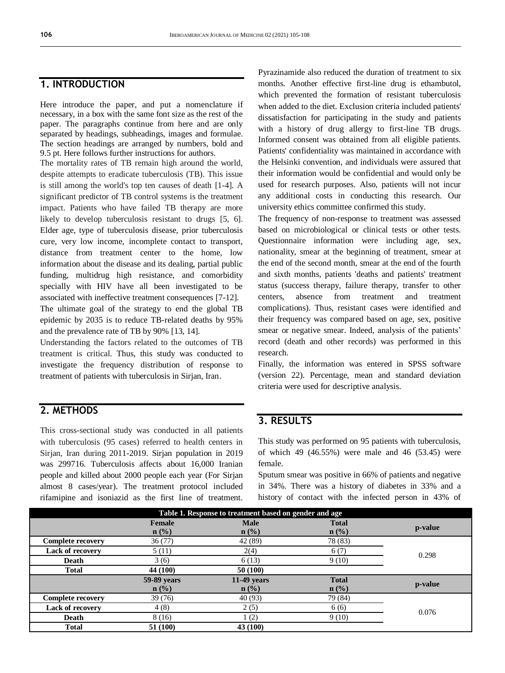#### **1. INTRODUCTION**

Here introduce the paper, and put a nomenclature if necessary, in a box with the same font size as the rest of the paper. The paragraphs continue from here and are only separated by headings, subheadings, images and formulae. The section headings are arranged by numbers, bold and 9.5 pt. Here follows further instructions for authors.

The mortality rates of TB remain high around the world, despite attempts to eradicate tuberculosis (TB). This issue is still among the world's top ten causes of death [1-4]. A significant predictor of TB control systems is the treatment impact. Patients who have failed TB therapy are more likely to develop tuberculosis resistant to drugs [5, 6]. Elder age, type of tuberculosis disease, prior tuberculosis cure, very low income, incomplete contact to transport, distance from treatment center to the home, low information about the disease and its dealing, partial public funding, multidrug high resistance, and comorbidity specially with HIV have all been investigated to be associated with ineffective treatment consequences [7-12]. The ultimate goal of the strategy to end the global TB epidemic by 2035 is to reduce TB-related deaths by 95% and the prevalence rate of TB by 90% [13, 14].

Understanding the factors related to the outcomes of TB treatment is critical. Thus, this study was conducted to investigate the frequency distribution of response to treatment of patients with tuberculosis in Sirjan, Iran.

#### **2. METHODS**

This cross-sectional study was conducted in all patients with tuberculosis (95 cases) referred to health centers in Sirjan, Iran during 2011-2019. Sirjan population in 2019 was 299716. Tuberculosis affects about 16,000 Iranian people and killed about 2000 people each year (For Sirjan almost 8 cases/year). The treatment protocol included rifamipine and isoniazid as the first line of treatment.

Pyrazinamide also reduced the duration of treatment to six months. Another effective first-line drug is ethambutol, which prevented the formation of resistant tuberculosis when added to the diet. Exclusion criteria included patients' dissatisfaction for participating in the study and patients with a history of drug allergy to first-line TB drugs. Informed consent was obtained from all eligible patients. Patients' confidentiality was maintained in accordance with the Helsinki convention, and individuals were assured that their information would be confidential and would only be used for research purposes. Also, patients will not incur any additional costs in conducting this research. Our university ethics committee confirmed this study.

The frequency of non-response to treatment was assessed based on microbiological or clinical tests or other tests. Questionnaire information were including age, sex, nationality, smear at the beginning of treatment, smear at the end of the second month, smear at the end of the fourth and sixth months, patients 'deaths and patients' treatment status (success therapy, failure therapy, transfer to other centers, absence from treatment and treatment complications). Thus, resistant cases were identified and their frequency was compared based on age, sex, positive smear or negative smear. Indeed, analysis of the patients' record (death and other records) was performed in this research.

Finally, the information was entered in SPSS software (version 22). Percentage, mean and standard deviation criteria were used for descriptive analysis.

#### **3. RESULTS**

This study was performed on 95 patients with tuberculosis, of which 49 (46.55%) were male and 46 (53.45) were female.

Sputum smear was positive in 66% of patients and negative in 34%. There was a history of diabetes in 33% and a history of contact with the infected person in 43% of

| Table 1. Response to treatment based on gender and age |             |                  |              |         |  |  |
|--------------------------------------------------------|-------------|------------------|--------------|---------|--|--|
|                                                        | Female      | <b>Male</b>      | <b>Total</b> | p-value |  |  |
|                                                        | $n$ (%)     | $\mathbf{n}(\%)$ | $n$ (%)      |         |  |  |
| <b>Complete recovery</b>                               | 36(77)      | 42 (89)          | 78 (83)      | 0.298   |  |  |
| <b>Lack of recovery</b>                                | 5(11)       | 2(4)             | 6(7)         |         |  |  |
| Death                                                  | 3(6)        | 6(13)            | 9(10)        |         |  |  |
| <b>Total</b>                                           | 44 (100)    | 50 (100)         |              |         |  |  |
|                                                        | 59-89 years | $11-49$ years    | <b>Total</b> | p-value |  |  |
|                                                        | $n$ (%)     | $n$ (%)          | $n$ (%)      |         |  |  |
| <b>Complete recovery</b>                               | 39 (76)     | 40(93)           | 79 (84)      | 0.076   |  |  |
| <b>Lack of recovery</b>                                | 4(8)        | 2(5)             | 6(6)         |         |  |  |
| Death                                                  | 8 (16)      | (2)              | 9(10)        |         |  |  |
| <b>Total</b>                                           | 51 (100)    | 43 (100)         |              |         |  |  |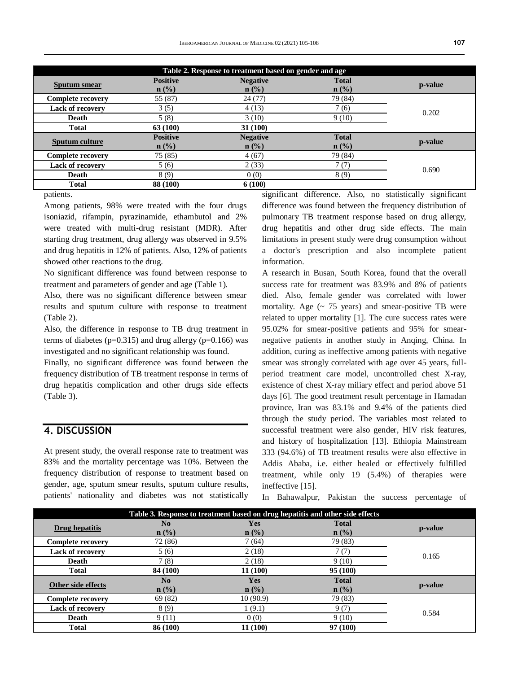| Table 2. Response to treatment based on gender and age |                            |                                     |                                  |                                      |  |  |
|--------------------------------------------------------|----------------------------|-------------------------------------|----------------------------------|--------------------------------------|--|--|
| <b>Sputum</b> smear                                    | <b>Positive</b><br>$n$ (%) | <b>Negative</b><br>$\mathbf{n}(\%)$ | <b>Total</b><br>$\mathbf{n}(\%)$ | p-value                              |  |  |
| Complete recovery                                      | 55 (87)                    | 24(77)                              | 79 (84)                          | 0.202                                |  |  |
| <b>Lack of recovery</b>                                | 3(5)                       | 4(13)                               | 7(6)                             |                                      |  |  |
| Death                                                  | 5(8)                       | 3(10)                               | 9(10)                            |                                      |  |  |
| Total                                                  | 63 (100)                   | 31(100)                             |                                  |                                      |  |  |
| Sputum culture                                         | <b>Positive</b><br>$n$ (%) | <b>Negative</b><br>$\mathbf{n}(\%)$ | <b>Total</b><br>$n$ (%)          | p-value                              |  |  |
| <b>Complete recovery</b>                               | 75 (85)                    | 4(67)                               | 79 (84)                          | 0.690<br>$\sim$ $\sim$ $\sim$ $\sim$ |  |  |
| <b>Lack of recovery</b>                                | 5(6)                       | 2(33)                               | 7(7)                             |                                      |  |  |
| Death                                                  | 8(9)                       | 0(0)                                | 8(9)                             |                                      |  |  |
| Total                                                  | 88 (100)                   | 6(100)<br>$\sim$ $\sim$ $\sim$      | ---                              |                                      |  |  |

patients.

Among patients, 98% were treated with the four drugs isoniazid, rifampin, pyrazinamide, ethambutol and 2% were treated with multi-drug resistant (MDR). After starting drug treatment, drug allergy was observed in 9.5% and drug hepatitis in 12% of patients. Also, 12% of patients showed other reactions to the drug.

No significant difference was found between response to treatment and parameters of gender and age (Table 1).

Also, there was no significant difference between smear results and sputum culture with response to treatment (Table 2).

Also, the difference in response to TB drug treatment in terms of diabetes ( $p=0.315$ ) and drug allergy ( $p=0.166$ ) was investigated and no significant relationship was found.

Finally, no significant difference was found between the frequency distribution of TB treatment response in terms of drug hepatitis complication and other drugs side effects (Table 3).

#### **4. DISCUSSION**

At present study, the overall response rate to treatment was 83% and the mortality percentage was 10%. Between the frequency distribution of response to treatment based on gender, age, sputum smear results, sputum culture results, patients' nationality and diabetes was not statistically

significant difference. Also, no statistically significant difference was found between the frequency distribution of pulmonary TB treatment response based on drug allergy, drug hepatitis and other drug side effects. The main limitations in present study were drug consumption without a doctor's prescription and also incomplete patient information.

A research in Busan, South Korea, found that the overall success rate for treatment was 83.9% and 8% of patients died. Also, female gender was correlated with lower mortality. Age  $(\sim 75$  years) and smear-positive TB were related to upper mortality [1]. The cure success rates were 95.02% for smear-positive patients and 95% for smearnegative patients in another study in Anqing, China. In addition, curing as ineffective among patients with negative smear was strongly correlated with age over 45 years, fullperiod treatment care model, uncontrolled chest X-ray, existence of chest X-ray miliary effect and period above 51 days [6]. The good treatment result percentage in Hamadan province, Iran was 83.1% and 9.4% of the patients died through the study period. The variables most related to successful treatment were also gender, HIV risk features, and history of hospitalization [13]. Ethiopia Mainstream 333 (94.6%) of TB treatment results were also effective in Addis Ababa, i.e. either healed or effectively fulfilled treatment, while only 19 (5.4%) of therapies were ineffective [15].

In Bahawalpur, Pakistan the success percentage of

| Table 3. Response to treatment based on drug hepatitis and other side effects |          |            |              |         |  |  |  |
|-------------------------------------------------------------------------------|----------|------------|--------------|---------|--|--|--|
| Drug hepatitis                                                                | $\bf No$ | <b>Yes</b> | <b>Total</b> | p-value |  |  |  |
|                                                                               | $n$ (%)  | $n$ (%)    | $n$ (%)      |         |  |  |  |
| <b>Complete recovery</b>                                                      | 72 (86)  | 7(64)      | 79 (83)      | 0.165   |  |  |  |
| <b>Lack of recovery</b>                                                       | 5(6)     | 2(18)      | 7(7)         |         |  |  |  |
| Death                                                                         | 7(8)     | 2(18)      | 9(10)        |         |  |  |  |
| <b>Total</b>                                                                  | 84 (100) | 11 (100)   | 95(100)      |         |  |  |  |
| Other side effects                                                            | $\bf No$ | Yes        | <b>Total</b> | p-value |  |  |  |
|                                                                               | $n$ (%)  | $n$ (%)    | $n$ (%)      |         |  |  |  |
| <b>Complete recovery</b>                                                      | 69 (82)  | 10(90.9)   | 79 (83)      | 0.584   |  |  |  |
| Lack of recovery                                                              | 8 (9)    | 1(9.1)     | 9(7)         |         |  |  |  |
| Death                                                                         | 9(11)    | 0(0)       | 9(10)        |         |  |  |  |
| <b>Total</b>                                                                  | 86 (100) | 11 (100)   | 97 (100)     |         |  |  |  |